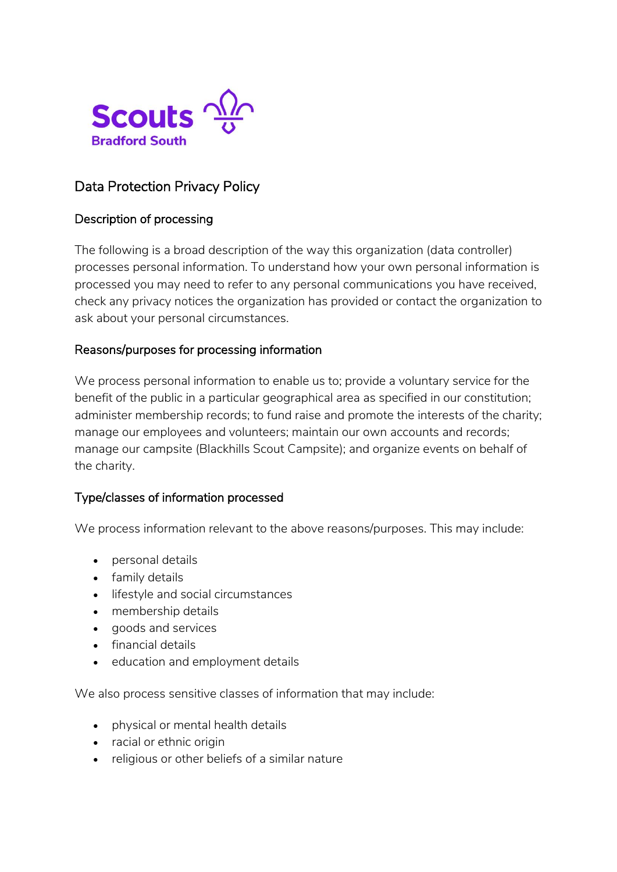

# Data Protection Privacy Policy

# Description of processing

The following is a broad description of the way this organization (data controller) processes personal information. To understand how your own personal information is processed you may need to refer to any personal communications you have received, check any privacy notices the organization has provided or contact the organization to ask about your personal circumstances.

### Reasons/purposes for processing information

We process personal information to enable us to; provide a voluntary service for the benefit of the public in a particular geographical area as specified in our constitution; administer membership records; to fund raise and promote the interests of the charity; manage our employees and volunteers; maintain our own accounts and records; manage our campsite (Blackhills Scout Campsite); and organize events on behalf of the charity.

### Type/classes of information processed

We process information relevant to the above reasons/purposes. This may include:

- personal details
- family details
- **.** lifestyle and social circumstances
- membership details
- goods and services
- financial details
- education and employment details

We also process sensitive classes of information that may include:

- physical or mental health details
- racial or ethnic origin
- religious or other beliefs of a similar nature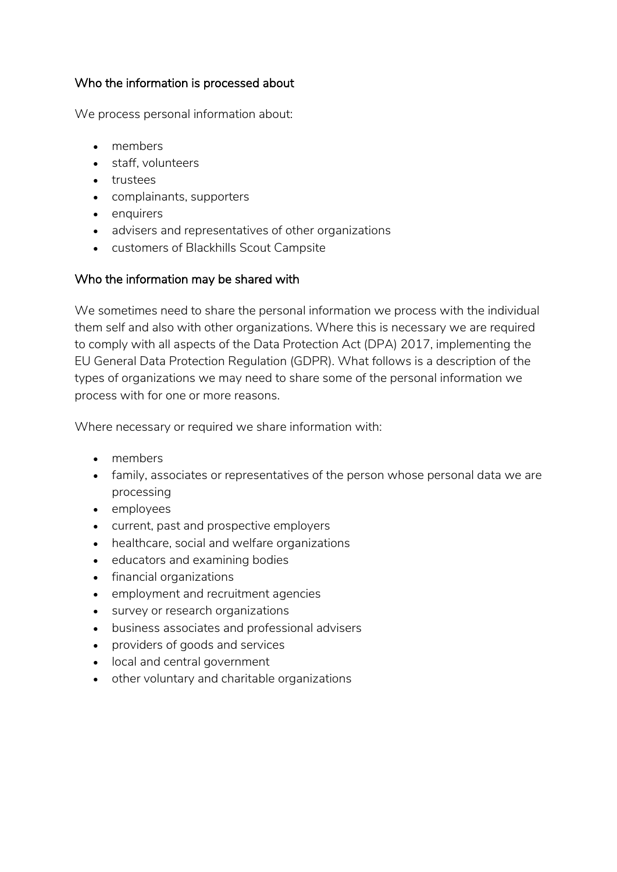### Who the information is processed about

We process personal information about:

- members
- staff, volunteers
- trustees
- complainants, supporters
- enquirers
- advisers and representatives of other organizations
- customers of Blackhills Scout Campsite

# Who the information may be shared with

We sometimes need to share the personal information we process with the individual them self and also with other organizations. Where this is necessary we are required to comply with all aspects of the Data Protection Act (DPA) 2017, implementing the EU General Data Protection Regulation (GDPR). What follows is a description of the types of organizations we may need to share some of the personal information we process with for one or more reasons.

Where necessary or required we share information with:

- members
- family, associates or representatives of the person whose personal data we are processing
- employees
- current, past and prospective employers
- healthcare, social and welfare organizations
- educators and examining bodies
- financial organizations
- employment and recruitment agencies
- survey or research organizations
- business associates and professional advisers
- providers of goods and services
- local and central government
- other voluntary and charitable organizations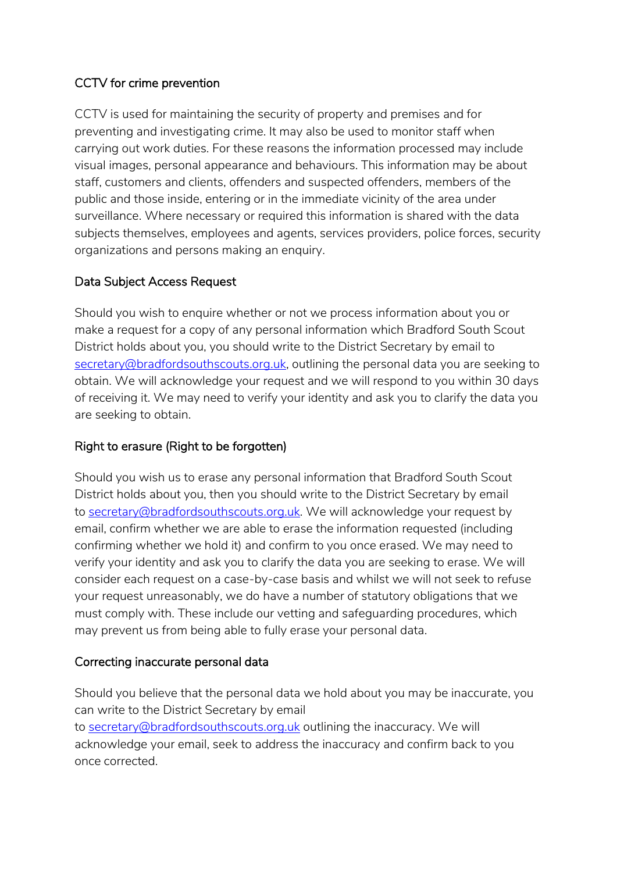# CCTV for crime prevention

CCTV is used for maintaining the security of property and premises and for preventing and investigating crime. It may also be used to monitor staff when carrying out work duties. For these reasons the information processed may include visual images, personal appearance and behaviours. This information may be about staff, customers and clients, offenders and suspected offenders, members of the public and those inside, entering or in the immediate vicinity of the area under surveillance. Where necessary or required this information is shared with the data subjects themselves, employees and agents, services providers, police forces, security organizations and persons making an enquiry.

# Data Subject Access Request

Should you wish to enquire whether or not we process information about you or make a request for a copy of any personal information which Bradford South Scout District holds about you, you should write to the District Secretary by email to [secretary@bradfordsouthscouts.org.uk,](mailto:secretary@durhamscouts.org.uk) outlining the personal data you are seeking to obtain. We will acknowledge your request and we will respond to you within 30 days of receiving it. We may need to verify your identity and ask you to clarify the data you are seeking to obtain.

### Right to erasure (Right to be forgotten)

Should you wish us to erase any personal information that Bradford South Scout District holds about you, then you should write to the District Secretary by email to [secretary@bradfordsouthscouts.org.uk.](mailto:secretary@durhamscouts.org.uk) We will acknowledge your request by email, confirm whether we are able to erase the information requested (including confirming whether we hold it) and confirm to you once erased. We may need to verify your identity and ask you to clarify the data you are seeking to erase. We will consider each request on a case-by-case basis and whilst we will not seek to refuse your request unreasonably, we do have a number of statutory obligations that we must comply with. These include our vetting and safeguarding procedures, which may prevent us from being able to fully erase your personal data.

### Correcting inaccurate personal data

Should you believe that the personal data we hold about you may be inaccurate, you can write to the District Secretary by email to [secretary@bradfordsouthscouts.org.uk](mailto:secretary@durhamscouts.org.uk) outlining the inaccuracy. We will acknowledge your email, seek to address the inaccuracy and confirm back to you once corrected.